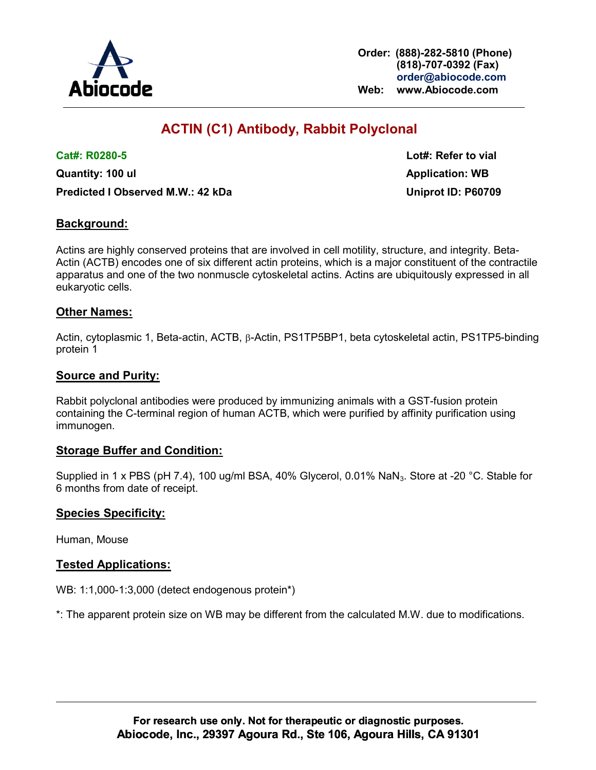

Order: (888)-282-5810 (Phone) (818)-707-0392 (Fax) order@abiocode.com Web: www.Abiocode.com

# ACTIN (C1) Antibody, Rabbit Polyclonal

Quantity: 100 ul Application: WB Application: WB Predicted I Observed M.W.: 42 kDa Uniprot ID: P60709

Cat#: R0280-5 Lot#: Refer to vial

## Background:

Actins are highly conserved proteins that are involved in cell motility, structure, and integrity. Beta-Actin (ACTB) encodes one of six different actin proteins, which is a major constituent of the contractile apparatus and one of the two nonmuscle cytoskeletal actins. Actins are ubiquitously expressed in all eukaryotic cells.

### Other Names:

Actin, cytoplasmic 1, Beta-actin, ACTB,  $\beta$ -Actin, PS1TP5BP1, beta cytoskeletal actin, PS1TP5-binding protein 1

#### Source and Purity:

Rabbit polyclonal antibodies were produced by immunizing animals with a GST-fusion protein containing the C-terminal region of human ACTB, which were purified by affinity purification using immunogen.

#### Storage Buffer and Condition:

Supplied in 1 x PBS (pH 7.4), 100 ug/ml BSA, 40% Glycerol, 0.01% NaN<sub>3</sub>. Store at -20 °C. Stable for 6 months from date of receipt.

#### Species Specificity:

Human, Mouse

#### Tested Applications:

WB: 1:1,000-1:3,000 (detect endogenous protein\*)

\*: The apparent protein size on WB may be different from the calculated M.W. due to modifications.